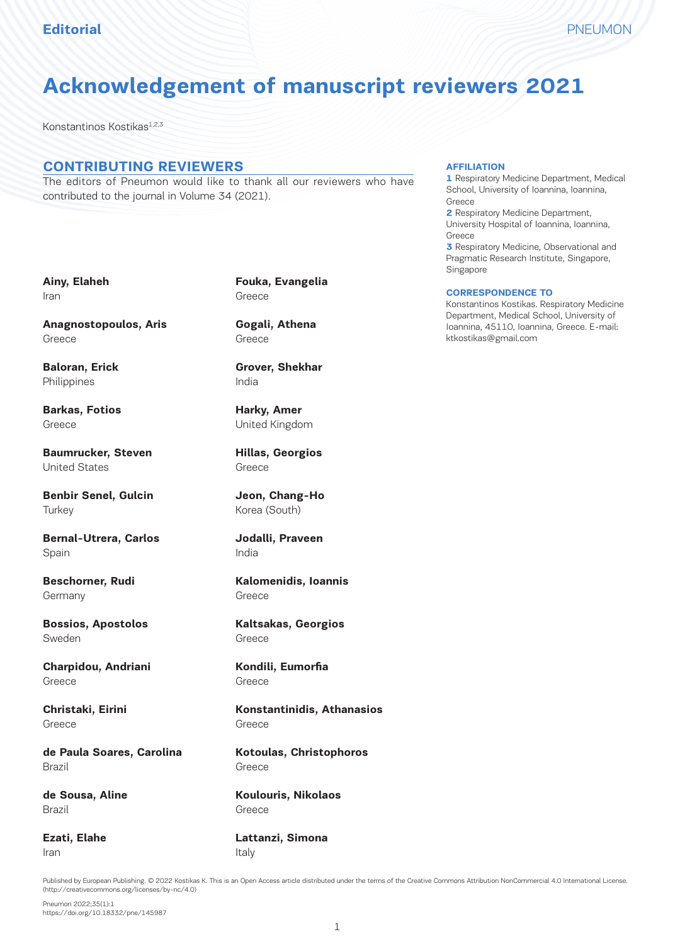# **Acknowledgement of manuscript reviewers 2021**

Konstantinos Kostikas1,2,3

## **CONTRIBUTING REVIEWERS**

The editors of Pneumon would like to thank all our reviewers who have contributed to the journal in Volume 34 (2021).

### **AFFILIATION**

**1** Respiratory Medicine Department, Medical School, University of Ioannina, Ioannina, Greece

**2** Respiratory Medicine Department, University Hospital of Ioannina, Ioannina, Greece

**3** Respiratory Medicine, Observational and Pragmatic Research Institute, Singapore, Singapore

#### **CORRESPONDENCE TO**

Konstantinos Kostikas. Respiratory Medicine Department, Medical School, University of Ioannina, 45110, Ioannina, Greece. E-mail: ktkostikas@gmail.com

**Ainy, Elaheh** Iran

**Anagnostopoulos, Aris** Greece

**Baloran, Erick** Philippines

**Barkas, Fotios** Greece

**Baumrucker, Steven** United States

**Benbir Senel, Gulcin Turkey** 

**Bernal-Utrera, Carlos** Spain

**Beschorner, Rudi Germany** 

**Bossios, Apostolos** Sweden

**Charpidou, Andriani** Greece

**Christaki, Eirini** Greece

**de Paula Soares, Carolina** Brazil

**de Sousa, Aline** Brazil

**Ezati, Elahe** Iran

**Fouka, Evangelia** Greece

**Gogali, Athena** Greece

**Grover, Shekhar** India

**Harky, Amer** United Kingdom

**Hillas, Georgios** Greece

**Jeon, Chang-Ho** Korea (South)

**Jodalli, Praveen** India

**Kalomenidis, Ioannis** Greece

**Kaltsakas, Georgios** Greece

**Kondili, Eumorfia** Greece

**Konstantinidis, Athanasios** Greece

**Kotoulas, Christophoros** Greece

**Koulouris, Nikolaos** Greece

**Lattanzi, Simona** Italy

Published by European Publishing. © 2022 Kostikas K. This is an Open Access article distributed under the terms of the Creative Commons Attribution NonCommercial 4.0 International License. (http://creativecommons.org/licenses/by-nc/4.0)

Pneumon 2022;35(1):1 https://doi.org/10.18332/pne/145987